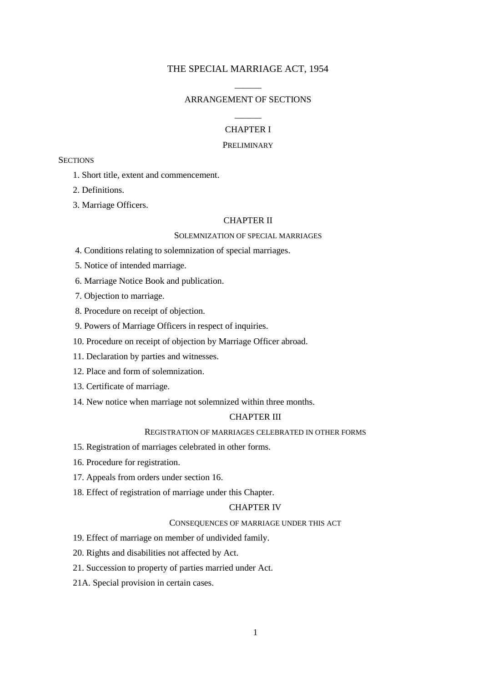# THE SPECIAL MARRIAGE ACT, 1954

# $\overline{\phantom{a}}$ ARRANGEMENT OF SECTIONS  $\overline{\phantom{a}}$

# CHAPTER I

#### PRELIMINARY

### **SECTIONS**

- 1. Short title, extent and commencement.
- 2. Definitions.
- 3. Marriage Officers.

### CHAPTER II

# SOLEMNIZATION OF SPECIAL MARRIAGES

- 4. Conditions relating to solemnization of special marriages.
- 5. Notice of intended marriage.
- 6. Marriage Notice Book and publication.
- 7. Objection to marriage.
- 8. Procedure on receipt of objection.
- 9. Powers of Marriage Officers in respect of inquiries.
- 10. Procedure on receipt of objection by Marriage Officer abroad.
- 11. Declaration by parties and witnesses.
- 12. Place and form of solemnization.
- 13. Certificate of marriage.
- 14. New notice when marriage not solemnized within three months.

# CHAPTER III

## REGISTRATION OF MARRIAGES CELEBRATED IN OTHER FORMS

- 15. Registration of marriages celebrated in other forms.
- 16. Procedure for registration.
- 17. Appeals from orders under section 16.
- 18. Effect of registration of marriage under this Chapter.

# CHAPTER IV

#### CONSEQUENCES OF MARRIAGE UNDER THIS ACT

- 19. Effect of marriage on member of undivided family.
- 20. Rights and disabilities not affected by Act.
- 21. Succession to property of parties married under Act.
- 21A. Special provision in certain cases.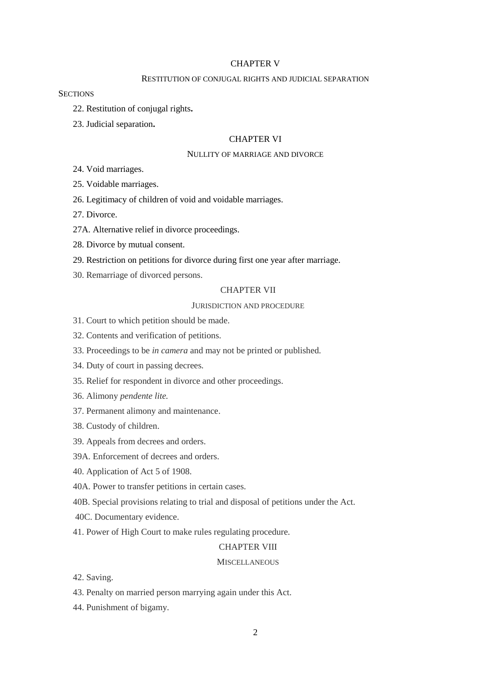### CHAPTER V

#### RESTITUTION OF CONJUGAL RIGHTS AND JUDICIAL SEPARATION

### **SECTIONS**

- 22. Restitution of conjugal rights**.**
- 23. Judicial separation**.**

### CHAPTER VI

#### NULLITY OF MARRIAGE AND DIVORCE

24. Void marriages.

25. Voidable marriages.

- 26. Legitimacy of children of void and voidable marriages.
- 27. Divorce.
- 27A. Alternative relief in divorce proceedings.
- 28. Divorce by mutual consent.
- 29. Restriction on petitions for divorce during first one year after marriage.
- 30. Remarriage of divorced persons.

### CHAPTER VII

### JURISDICTION AND PROCEDURE

- 31. Court to which petition should be made.
- 32. Contents and verification of petitions.
- 33. Proceedings to be *in camera* and may not be printed or published.
- 34. Duty of court in passing decrees.
- 35. Relief for respondent in divorce and other proceedings.
- 36. Alimony *pendente lite.*
- 37. Permanent alimony and maintenance.
- 38. Custody of children.
- 39. Appeals from decrees and orders.
- 39A. Enforcement of decrees and orders.
- 40. Application of Act 5 of 1908.
- 40A. Power to transfer petitions in certain cases.
- 40B. Special provisions relating to trial and disposal of petitions under the Act.
- 40C. Documentary evidence.
- 41. Power of High Court to make rules regulating procedure.

#### CHAPTER VIII

#### **MISCELLANEOUS**

- 42. Saving.
- 43. Penalty on married person marrying again under this Act.
- 44. Punishment of bigamy.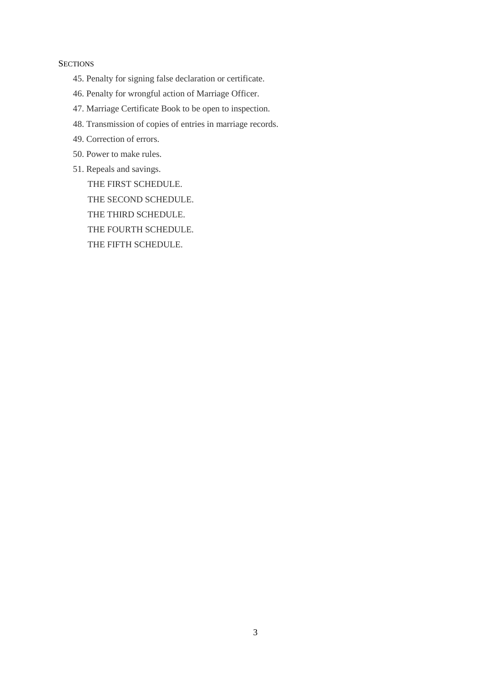# **SECTIONS**

- 45. Penalty for signing false declaration or certificate.
- 46. Penalty for wrongful action of Marriage Officer.
- 47. Marriage Certificate Book to be open to inspection.
- 48. Transmission of copies of entries in marriage records.
- 49. Correction of errors.
- 50. Power to make rules.
- 51. Repeals and savings.

THE FIRST SCHEDULE. THE SECOND SCHEDULE. THE THIRD SCHEDULE. THE FOURTH SCHEDULE. THE FIFTH SCHEDULE.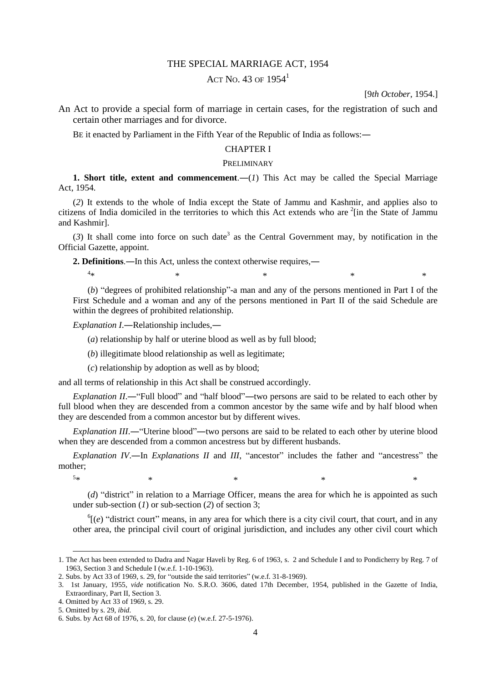#### THE SPECIAL MARRIAGE ACT, 1954

# ACT No. 43 OF  $1954<sup>1</sup>$

[9*th October*, 1954.]

An Act to provide a special form of marriage in certain cases, for the registration of such and certain other marriages and for divorce.

BE it enacted by Parliament in the Fifth Year of the Republic of India as follows:―

### CHAPTER I

#### PRELIMINARY

**1. Short title, extent and commencement.**—(*1*) This Act may be called the Special Marriage Act, 1954.

(*2*) It extends to the whole of India except the State of Jammu and Kashmir, and applies also to citizens of India domiciled in the territories to which this Act extends who are  $2$ [in the State of Jammu and Kashmir].

 $(3)$  It shall come into force on such date<sup>3</sup> as the Central Government may, by notification in the Official Gazette, appoint.

**2. Definitions**.―In this Act, unless the context otherwise requires,―

(*b*) "degrees of prohibited relationship"-a man and any of the persons mentioned in Part I of the First Schedule and a woman and any of the persons mentioned in Part II of the said Schedule are within the degrees of prohibited relationship.

 $*$   $*$   $*$   $*$   $*$   $*$   $*$ 

*Explanation I*.―Relationship includes,―

(*a*) relationship by half or uterine blood as well as by full blood;

(*b*) illegitimate blood relationship as well as legitimate;

(*c*) relationship by adoption as well as by blood;

and all terms of relationship in this Act shall be construed accordingly.

*Explanation II.*—"Full blood" and "half blood"—two persons are said to be related to each other by full blood when they are descended from a common ancestor by the same wife and by half blood when they are descended from a common ancestor but by different wives.

*Explanation III.*—"Uterine blood"—two persons are said to be related to each other by uterine blood when they are descended from a common ancestress but by different husbands.

*Explanation IV*.―In *Explanations II* and *III*, "ancestor" includes the father and "ancestress" the mother;

 $5*$  $*$   $*$   $*$   $*$   $*$   $*$   $*$   $*$ 

1

 $4<sub>25</sub>$ 

(*d*) "district" in relation to a Marriage Officer, means the area for which he is appointed as such under sub-section (*1*) or sub-section (*2*) of section 3;

 ${}^6$ [(*e*) "district court" means, in any area for which there is a city civil court, that court, and in any other area, the principal civil court of original jurisdiction, and includes any other civil court which

<sup>1.</sup> The Act has been extended to Dadra and Nagar Haveli by Reg. 6 of 1963, s. 2 and Schedule I and to Pondicherry by Reg. 7 of 1963, Section 3 and Schedule I (w.e.f. 1-10-1963).

<sup>2.</sup> Subs. by Act 33 of 1969, s. 29, for "outside the said territories" (w.e.f. 31-8-1969).

<sup>3. 1</sup>st January, 1955, *vide* notification No. S.R.O. 3606, dated 17th December, 1954, published in the Gazette of India, Extraordinary, Part II, Section 3.

<sup>4.</sup> Omitted by Act 33 of 1969, s. 29.

<sup>5.</sup> Omitted by s. 29, *ibid*.

<sup>6.</sup> Subs. by Act 68 of 1976, s. 20, for clause (*e*) (w.e.f. 27-5-1976).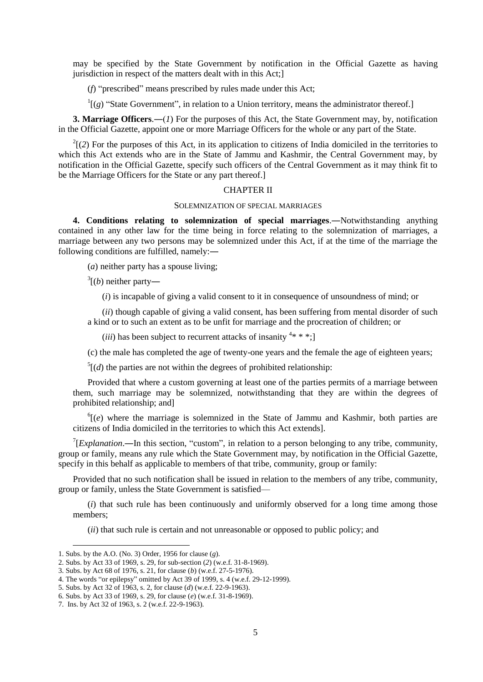may be specified by the State Government by notification in the Official Gazette as having jurisdiction in respect of the matters dealt with in this Act;]

(*f*) "prescribed" means prescribed by rules made under this Act;

 $\Gamma$ <sup>1</sup>[(g) "State Government", in relation to a Union territory, means the administrator thereof.]

**3. Marriage Officers**.―(*1*) For the purposes of this Act, the State Government may, by, notification in the Official Gazette, appoint one or more Marriage Officers for the whole or any part of the State.

 $2^{2}$ [(2) For the purposes of this Act, in its application to citizens of India domiciled in the territories to which this Act extends who are in the State of Jammu and Kashmir, the Central Government may, by notification in the Official Gazette, specify such officers of the Central Government as it may think fit to be the Marriage Officers for the State or any part thereof.]

### CHAPTER II

#### SOLEMNIZATION OF SPECIAL MARRIAGES

**4. Conditions relating to solemnization of special marriages**.―Notwithstanding anything contained in any other law for the time being in force relating to the solemnization of marriages, a marriage between any two persons may be solemnized under this Act, if at the time of the marriage the following conditions are fulfilled, namely:―

(*a*) neither party has a spouse living;

 $3($ *(b)* neither party—

(*i*) is incapable of giving a valid consent to it in consequence of unsoundness of mind; or

(*ii*) though capable of giving a valid consent, has been suffering from mental disorder of such a kind or to such an extent as to be unfit for marriage and the procreation of children; or

(*iii*) has been subject to recurrent attacks of insanity  $4* * *$ ;

(c) the male has completed the age of twenty-one years and the female the age of eighteen years;

 $<sup>5</sup>$ [(*d*) the parties are not within the degrees of prohibited relationship:</sup>

Provided that where a custom governing at least one of the parties permits of a marriage between them, such marriage may be solemnized, notwithstanding that they are within the degrees of prohibited relationship; and]

 $^{6}$ [(*e*) where the marriage is solemnized in the State of Jammu and Kashmir, both parties are citizens of India domiciled in the territories to which this Act extends].

<sup>7</sup>[*Explanation*.—In this section, "custom", in relation to a person belonging to any tribe, community, group or family, means any rule which the State Government may, by notification in the Official Gazette, specify in this behalf as applicable to members of that tribe, community, group or family:

Provided that no such notification shall be issued in relation to the members of any tribe, community, group or family, unless the State Government is satisfied—

(*i*) that such rule has been continuously and uniformly observed for a long time among those members;

(*ii*) that such rule is certain and not unreasonable or opposed to public policy; and

<sup>1.</sup> Subs. by the A.O. (No. 3) Order, 1956 for clause (*g*).

<sup>2.</sup> Subs. by Act 33 of 1969, s. 29, for sub-section (*2*) (w.e.f. 31-8-1969).

<sup>3.</sup> Subs. by Act 68 of 1976, s. 21, for clause (*b*) (w.e.f. 27-5-1976).

<sup>4.</sup> The words "or epilepsy" omitted by Act 39 of 1999, s. 4 (w.e.f. 29-12-1999).

<sup>5.</sup> Subs. by Act 32 of 1963, s. 2, for clause (*d*) (w.e.f. 22-9-1963).

<sup>6.</sup> Subs. by Act 33 of 1969, s. 29, for clause (*e*) (w.e.f. 31-8-1969).

<sup>7.</sup> Ins. by Act 32 of 1963, s. 2 (w.e.f. 22-9-1963).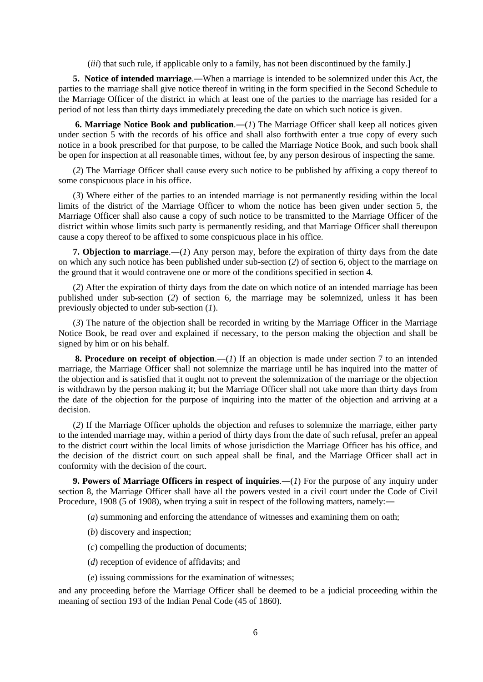(*iii*) that such rule, if applicable only to a family, has not been discontinued by the family.]

**5. Notice of intended marriage**.―When a marriage is intended to be solemnized under this Act, the parties to the marriage shall give notice thereof in writing in the form specified in the Second Schedule to the Marriage Officer of the district in which at least one of the parties to the marriage has resided for a period of not less than thirty days immediately preceding the date on which such notice is given.

**6. Marriage Notice Book and publication**.―(*1*) The Marriage Officer shall keep all notices given under section 5 with the records of his office and shall also forthwith enter a true copy of every such notice in a book prescribed for that purpose, to be called the Marriage Notice Book, and such book shall be open for inspection at all reasonable times, without fee, by any person desirous of inspecting the same.

(*2*) The Marriage Officer shall cause every such notice to be published by affixing a copy thereof to some conspicuous place in his office.

(*3*) Where either of the parties to an intended marriage is not permanently residing within the local limits of the district of the Marriage Officer to whom the notice has been given under section 5, the Marriage Officer shall also cause a copy of such notice to be transmitted to the Marriage Officer of the district within whose limits such party is permanently residing, and that Marriage Officer shall thereupon cause a copy thereof to be affixed to some conspicuous place in his office.

**7. Objection to marriage**.―(*1*) Any person may, before the expiration of thirty days from the date on which any such notice has been published under sub-section (*2*) of section 6, object to the marriage on the ground that it would contravene one or more of the conditions specified in section 4.

(*2*) After the expiration of thirty days from the date on which notice of an intended marriage has been published under sub-section (*2*) of section 6, the marriage may be solemnized, unless it has been previously objected to under sub-section (*1*).

(*3*) The nature of the objection shall be recorded in writing by the Marriage Officer in the Marriage Notice Book, be read over and explained if necessary, to the person making the objection and shall be signed by him or on his behalf.

**8. Procedure on receipt of objection**.―(*1*) If an objection is made under section 7 to an intended marriage, the Marriage Officer shall not solemnize the marriage until he has inquired into the matter of the objection and is satisfied that it ought not to prevent the solemnization of the marriage or the objection is withdrawn by the person making it; but the Marriage Officer shall not take more than thirty days from the date of the objection for the purpose of inquiring into the matter of the objection and arriving at a decision.

(*2*) If the Marriage Officer upholds the objection and refuses to solemnize the marriage, either party to the intended marriage may, within a period of thirty days from the date of such refusal, prefer an appeal to the district court within the local limits of whose jurisdiction the Marriage Officer has his office, and the decision of the district court on such appeal shall be final, and the Marriage Officer shall act in conformity with the decision of the court.

**9. Powers of Marriage Officers in respect of inquiries**.―(*1*) For the purpose of any inquiry under section 8, the Marriage Officer shall have all the powers vested in a civil court under the Code of Civil Procedure, 1908 (5 of 1908), when trying a suit in respect of the following matters, namely:―

(*a*) summoning and enforcing the attendance of witnesses and examining them on oath;

- (*b*) discovery and inspection;
- (*c*) compelling the production of documents;
- (*d*) reception of evidence of affidavits; and
- (*e*) issuing commissions for the examination of witnesses;

and any proceeding before the Marriage Officer shall be deemed to be a judicial proceeding within the meaning of section 193 of the Indian Penal Code (45 of 1860).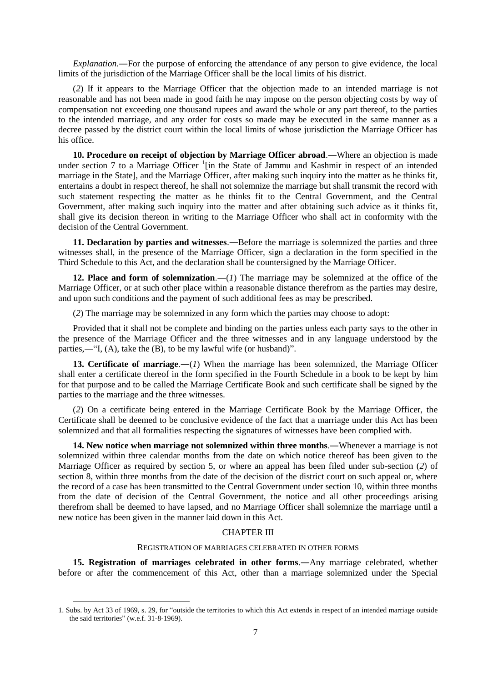*Explanation*.―For the purpose of enforcing the attendance of any person to give evidence, the local limits of the jurisdiction of the Marriage Officer shall be the local limits of his district.

(*2*) If it appears to the Marriage Officer that the objection made to an intended marriage is not reasonable and has not been made in good faith he may impose on the person objecting costs by way of compensation not exceeding one thousand rupees and award the whole or any part thereof, to the parties to the intended marriage, and any order for costs so made may be executed in the same manner as a decree passed by the district court within the local limits of whose jurisdiction the Marriage Officer has his office.

**10. Procedure on receipt of objection by Marriage Officer abroad**.―Where an objection is made under section 7 to a Marriage Officer <sup>1</sup>[in the State of Jammu and Kashmir in respect of an intended marriage in the State], and the Marriage Officer, after making such inquiry into the matter as he thinks fit, entertains a doubt in respect thereof, he shall not solemnize the marriage but shall transmit the record with such statement respecting the matter as he thinks fit to the Central Government, and the Central Government, after making such inquiry into the matter and after obtaining such advice as it thinks fit, shall give its decision thereon in writing to the Marriage Officer who shall act in conformity with the decision of the Central Government.

**11. Declaration by parties and witnesses.**—Before the marriage is solemnized the parties and three witnesses shall, in the presence of the Marriage Officer, sign a declaration in the form specified in the Third Schedule to this Act, and the declaration shall be countersigned by the Marriage Officer.

**12. Place and form of solemnization**.―(*1*) The marriage may be solemnized at the office of the Marriage Officer, or at such other place within a reasonable distance therefrom as the parties may desire, and upon such conditions and the payment of such additional fees as may be prescribed.

(*2*) The marriage may be solemnized in any form which the parties may choose to adopt:

Provided that it shall not be complete and binding on the parties unless each party says to the other in the presence of the Marriage Officer and the three witnesses and in any language understood by the parties,―"I, (A), take the (B), to be my lawful wife (or husband)".

**13. Certificate of marriage.**—(*1*) When the marriage has been solemnized, the Marriage Officer shall enter a certificate thereof in the form specified in the Fourth Schedule in a book to be kept by him for that purpose and to be called the Marriage Certificate Book and such certificate shall be signed by the parties to the marriage and the three witnesses.

(*2*) On a certificate being entered in the Marriage Certificate Book by the Marriage Officer, the Certificate shall be deemed to be conclusive evidence of the fact that a marriage under this Act has been solemnized and that all formalities respecting the signatures of witnesses have been complied with.

**14. New notice when marriage not solemnized within three months**.―Whenever a marriage is not solemnized within three calendar months from the date on which notice thereof has been given to the Marriage Officer as required by section 5, or where an appeal has been filed under sub-section (*2*) of section 8, within three months from the date of the decision of the district court on such appeal or, where the record of a case has been transmitted to the Central Government under section 10, within three months from the date of decision of the Central Government, the notice and all other proceedings arising therefrom shall be deemed to have lapsed, and no Marriage Officer shall solemnize the marriage until a new notice has been given in the manner laid down in this Act.

### CHAPTER III

#### REGISTRATION OF MARRIAGES CELEBRATED IN OTHER FORMS

**15. Registration of marriages celebrated in other forms**.―Any marriage celebrated, whether before or after the commencement of this Act, other than a marriage solemnized under the Special

-

<sup>1.</sup> Subs. by Act 33 of 1969, s. 29, for "outside the territories to which this Act extends in respect of an intended marriage outside the said territories" (w.e.f. 31-8-1969).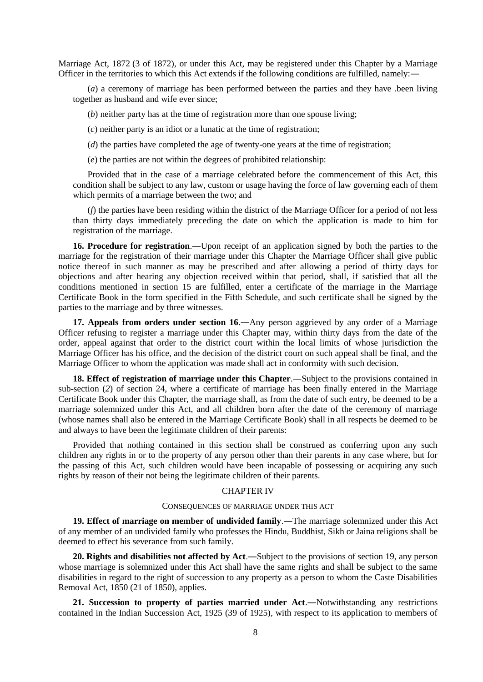Marriage Act, 1872 (3 of 1872), or under this Act, may be registered under this Chapter by a Marriage Officer in the territories to which this Act extends if the following conditions are fulfilled, namely:―

(*a*) a ceremony of marriage has been performed between the parties and they have .been living together as husband and wife ever since;

(*b*) neither party has at the time of registration more than one spouse living;

(*c*) neither party is an idiot or a lunatic at the time of registration;

(*d*) the parties have completed the age of twenty-one years at the time of registration;

(*e*) the parties are not within the degrees of prohibited relationship:

Provided that in the case of a marriage celebrated before the commencement of this Act, this condition shall be subject to any law, custom or usage having the force of law governing each of them which permits of a marriage between the two; and

(*f*) the parties have been residing within the district of the Marriage Officer for a period of not less than thirty days immediately preceding the date on which the application is made to him for registration of the marriage.

**16. Procedure for registration**.―Upon receipt of an application signed by both the parties to the marriage for the registration of their marriage under this Chapter the Marriage Officer shall give public notice thereof in such manner as may be prescribed and after allowing a period of thirty days for objections and after hearing any objection received within that period, shall, if satisfied that all the conditions mentioned in section 15 are fulfilled, enter a certificate of the marriage in the Marriage Certificate Book in the form specified in the Fifth Schedule, and such certificate shall be signed by the parties to the marriage and by three witnesses.

17. **Appeals from orders under section 16.**—Any person aggrieved by any order of a Marriage Officer refusing to register a marriage under this Chapter may, within thirty days from the date of the order, appeal against that order to the district court within the local limits of whose jurisdiction the Marriage Officer has his office, and the decision of the district court on such appeal shall be final, and the Marriage Officer to whom the application was made shall act in conformity with such decision.

**18. Effect of registration of marriage under this Chapter**.―Subject to the provisions contained in sub-section (*2*) of section 24, where a certificate of marriage has been finally entered in the Marriage Certificate Book under this Chapter, the marriage shall, as from the date of such entry, be deemed to be a marriage solemnized under this Act, and all children born after the date of the ceremony of marriage (whose names shall also be entered in the Marriage Certificate Book) shall in all respects be deemed to be and always to have been the legitimate children of their parents:

Provided that nothing contained in this section shall be construed as conferring upon any such children any rights in or to the property of any person other than their parents in any case where, but for the passing of this Act, such children would have been incapable of possessing or acquiring any such rights by reason of their not being the legitimate children of their parents.

#### CHAPTER IV

#### CONSEQUENCES OF MARRIAGE UNDER THIS ACT

**19. Effect of marriage on member of undivided family**.―The marriage solemnized under this Act of any member of an undivided family who professes the Hindu, Buddhist, Sikh or Jaina religions shall be deemed to effect his severance from such family.

**20. Rights and disabilities not affected by Act**.―Subject to the provisions of section 19, any person whose marriage is solemnized under this Act shall have the same rights and shall be subject to the same disabilities in regard to the right of succession to any property as a person to whom the Caste Disabilities Removal Act, 1850 (21 of 1850), applies.

**21. Succession to property of parties married under Act**.―Notwithstanding any restrictions contained in the Indian Succession Act, 1925 (39 of 1925), with respect to its application to members of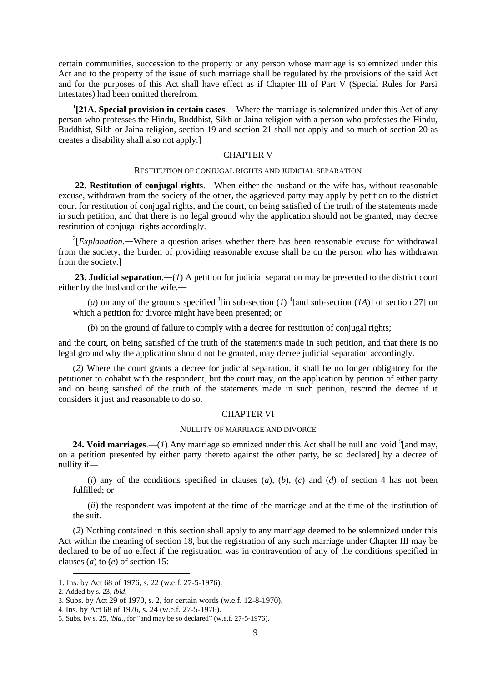certain communities, succession to the property or any person whose marriage is solemnized under this Act and to the property of the issue of such marriage shall be regulated by the provisions of the said Act and for the purposes of this Act shall have effect as if Chapter III of Part V (Special Rules for Parsi Intestates) had been omitted therefrom.

**1 [21A. Special provision in certain cases**.―Where the marriage is solemnized under this Act of any person who professes the Hindu, Buddhist, Sikh or Jaina religion with a person who professes the Hindu, Buddhist, Sikh or Jaina religion, section 19 and section 21 shall not apply and so much of section 20 as creates a disability shall also not apply.]

#### CHAPTER V

#### RESTITUTION OF CONJUGAL RIGHTS AND JUDICIAL SEPARATION

**22. Restitution of conjugal rights**.―When either the husband or the wife has, without reasonable excuse, withdrawn from the society of the other, the aggrieved party may apply by petition to the district court for restitution of conjugal rights, and the court, on being satisfied of the truth of the statements made in such petition, and that there is no legal ground why the application should not be granted, may decree restitution of conjugal rights accordingly.

<sup>2</sup>[*Explanation*.—Where a question arises whether there has been reasonable excuse for withdrawal from the society, the burden of providing reasonable excuse shall be on the person who has withdrawn from the society.]

**23. Judicial separation**.―(*1*) A petition for judicial separation may be presented to the district court either by the husband or the wife,―

(*a*) on any of the grounds specified  ${}^{3}$ [in sub-section (*1*)  ${}^{4}$ [and sub-section (*1A*)] of section 27] on which a petition for divorce might have been presented; or

(*b*) on the ground of failure to comply with a decree for restitution of conjugal rights;

and the court, on being satisfied of the truth of the statements made in such petition, and that there is no legal ground why the application should not be granted, may decree judicial separation accordingly.

(*2*) Where the court grants a decree for judicial separation, it shall be no longer obligatory for the petitioner to cohabit with the respondent, but the court may, on the application by petition of either party and on being satisfied of the truth of the statements made in such petition, rescind the decree if it considers it just and reasonable to do so.

### CHAPTER VI

#### NULLITY OF MARRIAGE AND DIVORCE

**24. Void marriages.**—(*1*) Any marriage solemnized under this Act shall be null and void  $\frac{5}{2}$  [and may, on a petition presented by either party thereto against the other party, be so declared] by a decree of nullity if―

(*i*) any of the conditions specified in clauses (*a*), (*b*), (*c*) and (*d*) of section 4 has not been fulfilled; or

(*ii*) the respondent was impotent at the time of the marriage and at the time of the institution of the suit.

(*2*) Nothing contained in this section shall apply to any marriage deemed to be solemnized under this Act within the meaning of section 18, but the registration of any such marriage under Chapter III may be declared to be of no effect if the registration was in contravention of any of the conditions specified in clauses (*a*) to (*e*) of section 15:

-

<sup>1.</sup> Ins. by Act 68 of 1976, s. 22 (w.e.f. 27-5-1976).

<sup>2.</sup> Added by s. 23, *ibid*.

<sup>3.</sup> Subs. by Act 29 of 1970, s. 2, for certain words (w.e.f. 12-8-1970).

<sup>4.</sup> Ins. by Act 68 of 1976, s. 24 (w.e.f. 27-5-1976).

<sup>5.</sup> Subs. by s. 25, *ibid*., for "and may be so declared" (w.e.f. 27-5-1976).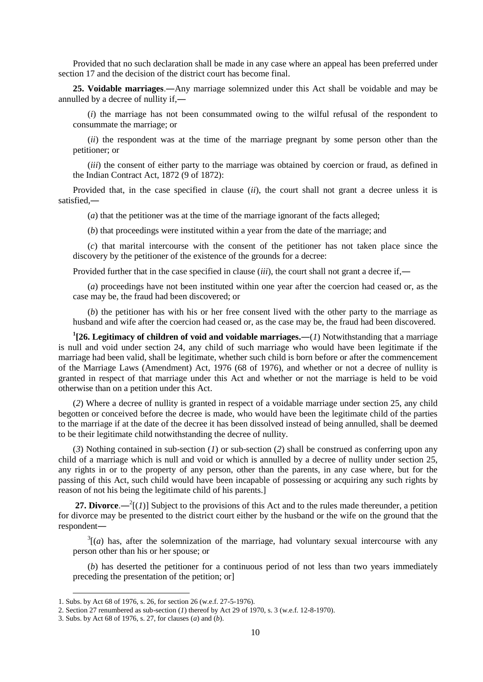Provided that no such declaration shall be made in any case where an appeal has been preferred under section 17 and the decision of the district court has become final.

**25. Voidable marriages**.―Any marriage solemnized under this Act shall be voidable and may be annulled by a decree of nullity if,―

(*i*) the marriage has not been consummated owing to the wilful refusal of the respondent to consummate the marriage; or

(*ii*) the respondent was at the time of the marriage pregnant by some person other than the petitioner; or

(*iii*) the consent of either party to the marriage was obtained by coercion or fraud, as defined in the Indian Contract Act, 1872 (9 of 1872):

Provided that, in the case specified in clause (*ii*), the court shall not grant a decree unless it is satisfied,―

(*a*) that the petitioner was at the time of the marriage ignorant of the facts alleged;

(*b*) that proceedings were instituted within a year from the date of the marriage; and

(*c*) that marital intercourse with the consent of the petitioner has not taken place since the discovery by the petitioner of the existence of the grounds for a decree:

Provided further that in the case specified in clause (*iii*), the court shall not grant a decree if,―

(*a*) proceedings have not been instituted within one year after the coercion had ceased or, as the case may be, the fraud had been discovered; or

(*b*) the petitioner has with his or her free consent lived with the other party to the marriage as husband and wife after the coercion had ceased or, as the case may be, the fraud had been discovered.

**1 [26. Legitimacy of children of void and voidable marriages.―**(*1*) Notwithstanding that a marriage is null and void under section 24, any child of such marriage who would have been legitimate if the marriage had been valid, shall be legitimate, whether such child is born before or after the commencement of the Marriage Laws (Amendment) Act, 1976 (68 of 1976), and whether or not a decree of nullity is granted in respect of that marriage under this Act and whether or not the marriage is held to be void otherwise than on a petition under this Act.

(*2*) Where a decree of nullity is granted in respect of a voidable marriage under section 25, any child begotten or conceived before the decree is made, who would have been the legitimate child of the parties to the marriage if at the date of the decree it has been dissolved instead of being annulled, shall be deemed to be their legitimate child notwithstanding the decree of nullity.

(*3*) Nothing contained in sub-section (*1*) or sub-section (*2*) shall be construed as conferring upon any child of a marriage which is null and void or which is annulled by a decree of nullity under section 25, any rights in or to the property of any person, other than the parents, in any case where, but for the passing of this Act, such child would have been incapable of possessing or acquiring any such rights by reason of not his being the legitimate child of his parents.]

**27. Divorce.**— $^{2}$ [(*1*)] Subject to the provisions of this Act and to the rules made thereunder, a petition for divorce may be presented to the district court either by the husband or the wife on the ground that the respondent―

 $3\vert(a)$  has, after the solemnization of the marriage, had voluntary sexual intercourse with any person other than his or her spouse; or

(*b*) has deserted the petitioner for a continuous period of not less than two years immediately preceding the presentation of the petition; or]

<sup>1.</sup> Subs. by Act 68 of 1976, s. 26, for section 26 (w.e.f. 27-5-1976).

<sup>2.</sup> Section 27 renumbered as sub-section (*1*) thereof by Act 29 of 1970, s. 3 (w.e.f. 12-8-1970).

<sup>3.</sup> Subs. by Act 68 of 1976, s. 27, for clauses (*a*) and (*b*).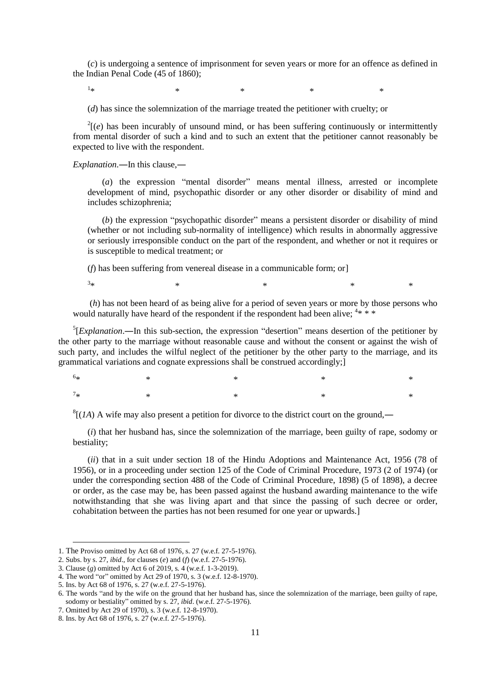(*c*) is undergoing a sentence of imprisonment for seven years or more for an offence as defined in the Indian Penal Code (45 of 1860);

 $1_{\ast}$ 

 $*$  \*  $*$  \*  $*$  \*  $*$ 

(*d*) has since the solemnization of the marriage treated the petitioner with cruelty; or

 $2^2$ [(*e*) has been incurably of unsound mind, or has been suffering continuously or intermittently from mental disorder of such a kind and to such an extent that the petitioner cannot reasonably be expected to live with the respondent.

*Explanation*.―In this clause,―

(*a*) the expression "mental disorder" means mental illness, arrested or incomplete development of mind, psychopathic disorder or any other disorder or disability of mind and includes schizophrenia;

(*b*) the expression "psychopathic disorder" means a persistent disorder or disability of mind (whether or not including sub-normality of intelligence) which results in abnormally aggressive or seriously irresponsible conduct on the part of the respondent, and whether or not it requires or is susceptible to medical treatment; or

(*f*) has been suffering from venereal disease in a communicable form; or]

 $3*$  $*$  \*  $*$  \*  $*$  \*  $*$ 

(*h*) has not been heard of as being alive for a period of seven years or more by those persons who would naturally have heard of the respondent if the respondent had been alive;  $4* * *$ 

 ${}^{5}$ [*Explanation*.—In this sub-section, the expression "desertion" means desertion of the petitioner by the other party to the marriage without reasonable cause and without the consent or against the wish of such party, and includes the wilful neglect of the petitioner by the other party to the marriage, and its grammatical variations and cognate expressions shall be construed accordingly;]

 $6*$  $*$   $*$   $*$   $*$   $*$   $*$   $*$  $7*$  $*$   $*$   $*$   $*$   $*$   $*$   $*$ 

 $^{8}$ [(*1A*) A wife may also present a petition for divorce to the district court on the ground,—

(*i*) that her husband has, since the solemnization of the marriage, been guilty of rape, sodomy or bestiality;

(*ii*) that in a suit under section 18 of the Hindu Adoptions and Maintenance Act, 1956 (78 of 1956), or in a proceeding under section 125 of the Code of Criminal Procedure, 1973 (2 of 1974) (or under the corresponding section 488 of the Code of Criminal Procedure, 1898) (5 of 1898), a decree or order, as the case may be, has been passed against the husband awarding maintenance to the wife notwithstanding that she was living apart and that since the passing of such decree or order, cohabitation between the parties has not been resumed for one year or upwards.]

<sup>1.</sup> The Proviso omitted by Act 68 of 1976, s. 27 (w.e.f. 27-5-1976).

<sup>2.</sup> Subs. by s. 27, *ibid*., for clauses (*e*) and (*f*) (w.e.f. 27-5-1976).

<sup>3.</sup> Clause (*g*) omitted by Act 6 of 2019, s. 4 (w.e.f. 1-3-2019).

<sup>4.</sup> The word "or" omitted by Act 29 of 1970, s. 3 (w.e.f. 12-8-1970).

<sup>5.</sup> Ins. by Act 68 of 1976, s. 27 (w.e.f. 27-5-1976).

<sup>6.</sup> The words "and by the wife on the ground that her husband has, since the solemnization of the marriage, been guilty of rape, sodomy or bestiality" omitted by s. 27, *ibid*. (w.e.f. 27-5-1976).

<sup>7.</sup> Omitted by Act 29 of 1970), s. 3 (w.e.f. 12-8-1970).

<sup>8.</sup> Ins. by Act 68 of 1976, s. 27 (w.e.f. 27-5-1976).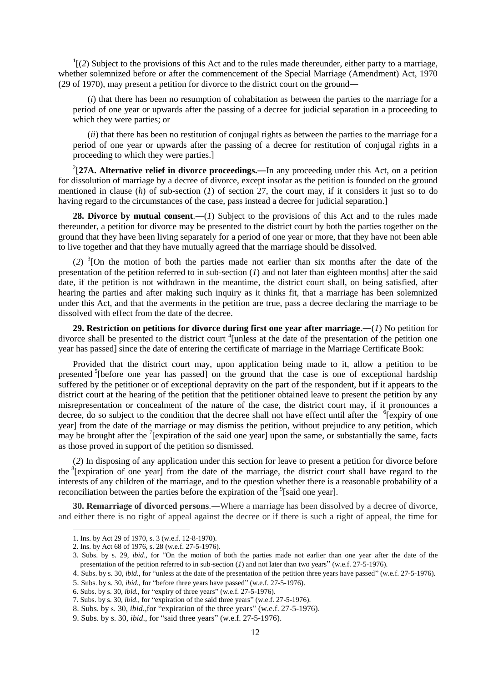$<sup>1</sup>$ [(2) Subject to the provisions of this Act and to the rules made thereunder, either party to a marriage,</sup> whether solemnized before or after the commencement of the Special Marriage (Amendment) Act, 1970 (29 of 1970), may present a petition for divorce to the district court on the ground―

(*i*) that there has been no resumption of cohabitation as between the parties to the marriage for a period of one year or upwards after the passing of a decree for judicial separation in a proceeding to which they were parties; or

(*ii*) that there has been no restitution of conjugal rights as between the parties to the marriage for a period of one year or upwards after the passing of a decree for restitution of conjugal rights in a proceeding to which they were parties.]

2 [**27A. Alternative relief in divorce proceedings.―**In any proceeding under this Act, on a petition for dissolution of marriage by a decree of divorce, except insofar as the petition is founded on the ground mentioned in clause  $(h)$  of sub-section  $(1)$  of section 27, the court may, if it considers it just so to do having regard to the circumstances of the case, pass instead a decree for judicial separation.

**28. Divorce by mutual consent.**—(*1*) Subject to the provisions of this Act and to the rules made thereunder, a petition for divorce may be presented to the district court by both the parties together on the ground that they have been living separately for a period of one year or more, that they have not been able to live together and that they have mutually agreed that the marriage should be dissolved.

(*2*) 3 [On the motion of both the parties made not earlier than six months after the date of the presentation of the petition referred to in sub-section (*1*) and not later than eighteen months] after the said date, if the petition is not withdrawn in the meantime, the district court shall, on being satisfied, after hearing the parties and after making such inquiry as it thinks fit, that a marriage has been solemnized under this Act, and that the averments in the petition are true, pass a decree declaring the marriage to be dissolved with effect from the date of the decree.

**29. Restriction on petitions for divorce during first one year after marriage**.―(*1*) No petition for divorce shall be presented to the district court <sup>4</sup>[unless at the date of the presentation of the petition one year has passed] since the date of entering the certificate of marriage in the Marriage Certificate Book:

Provided that the district court may, upon application being made to it, allow a petition to be presented <sup>5</sup>[before one year has passed] on the ground that the case is one of exceptional hardship suffered by the petitioner or of exceptional depravity on the part of the respondent, but if it appears to the district court at the hearing of the petition that the petitioner obtained leave to present the petition by any misrepresentation or concealment of the nature of the case, the district court may, if it pronounces a decree, do so subject to the condition that the decree shall not have effect until after the <sup>6</sup>[expiry of one year] from the date of the marriage or may dismiss the petition, without prejudice to any petition, which may be brought after the  $7$ [expiration of the said one year] upon the same, or substantially the same, facts as those proved in support of the petition so dismissed.

(*2*) In disposing of any application under this section for leave to present a petition for divorce before the <sup>8</sup>[expiration of one year] from the date of the marriage, the district court shall have regard to the interests of any children of the marriage, and to the question whether there is a reasonable probability of a reconciliation between the parties before the expiration of the  $\textdegree$ [said one year].

**30. Remarriage of divorced persons**.―Where a marriage has been dissolved by a decree of divorce, and either there is no right of appeal against the decree or if there is such a right of appeal, the time for

-

5. Subs. by s. 30, *ibid*., for "before three years have passed" (w.e.f. 27-5-1976).

<sup>1.</sup> Ins. by Act 29 of 1970, s. 3 (w.e.f. 12-8-1970).

<sup>2.</sup> Ins. by Act 68 of 1976, s. 28 (w.e.f. 27-5-1976).

<sup>3.</sup> Subs. by s. 29, *ibid*., for "On the motion of both the parties made not earlier than one year after the date of the presentation of the petition referred to in sub-section (*1*) and not later than two years" (w.e.f. 27-5-1976).

<sup>4.</sup> Subs. by s. 30, *ibid*., for "unless at the date of the presentation of the petition three years have passed" (w.e.f. 27-5-1976).

<sup>6.</sup> Subs. by s. 30, *ibid.,* for "expiry of three years" (w.e.f. 27-5-1976).

<sup>7.</sup> Subs. by s. 30, *ibid*., for "expiration of the said three years" (w.e.f. 27-5-1976).

<sup>8.</sup> Subs. by s. 30, *ibid.*,for "expiration of the three years" (w.e.f. 27-5-1976).

<sup>9.</sup> Subs. by s. 30, *ibid*., for "said three years" (w.e.f. 27-5-1976).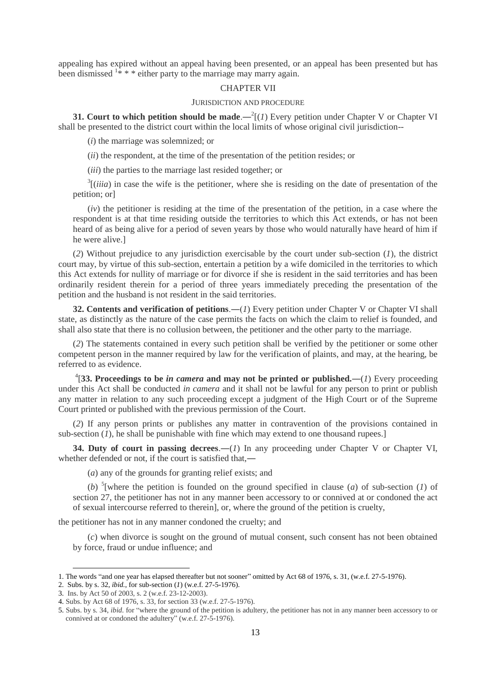appealing has expired without an appeal having been presented, or an appeal has been presented but has been dismissed  $1^*$  \* \* either party to the marriage may marry again.

### CHAPTER VII

#### JURISDICTION AND PROCEDURE

**31. Court to which petition should be made.**  $-{}^{2}$ [(*1*) Every petition under Chapter V or Chapter VI shall be presented to the district court within the local limits of whose original civil jurisdiction--

(*i*) the marriage was solemnized; or

(*ii*) the respondent, at the time of the presentation of the petition resides; or

(*iii*) the parties to the marriage last resided together; or

 $3$ [(*iiia*) in case the wife is the petitioner, where she is residing on the date of presentation of the petition; or]

(*iv*) the petitioner is residing at the time of the presentation of the petition, in a case where the respondent is at that time residing outside the territories to which this Act extends, or has not been heard of as being alive for a period of seven years by those who would naturally have heard of him if he were alive.]

(*2*) Without prejudice to any jurisdiction exercisable by the court under sub-section (*1*), the district court may, by virtue of this sub-section, entertain a petition by a wife domiciled in the territories to which this Act extends for nullity of marriage or for divorce if she is resident in the said territories and has been ordinarily resident therein for a period of three years immediately preceding the presentation of the petition and the husband is not resident in the said territories.

**32. Contents and verification of petitions**.―(*1*) Every petition under Chapter V or Chapter VI shall state, as distinctly as the nature of the case permits the facts on which the claim to relief is founded, and shall also state that there is no collusion between, the petitioner and the other party to the marriage.

(*2*) The statements contained in every such petition shall be verified by the petitioner or some other competent person in the manner required by law for the verification of plaints, and may, at the hearing, be referred to as evidence.

 $^{4}$ [33. Proceedings to be *in camera* and may not be printed or published.—(*1*) Every proceeding under this Act shall be conducted *in camera* and it shall not be lawful for any person to print or publish any matter in relation to any such proceeding except a judgment of the High Court or of the Supreme Court printed or published with the previous permission of the Court.

(*2*) If any person prints or publishes any matter in contravention of the provisions contained in sub-section  $(I)$ , he shall be punishable with fine which may extend to one thousand rupees.]

**34. Duty of court in passing decrees.**—(*1*) In any proceeding under Chapter V or Chapter VI, whether defended or not, if the court is satisfied that,—

(*a*) any of the grounds for granting relief exists; and

(*b*) <sup>5</sup>[where the petition is founded on the ground specified in clause (*a*) of sub-section (*1*) of section 27, the petitioner has not in any manner been accessory to or connived at or condoned the act of sexual intercourse referred to therein], or, where the ground of the petition is cruelty,

the petitioner has not in any manner condoned the cruelty; and

(*c*) when divorce is sought on the ground of mutual consent, such consent has not been obtained by force, fraud or undue influence; and

<sup>1.</sup> The words "and one year has elapsed thereafter but not sooner" omitted by Act 68 of 1976, s. 31, (w.e.f. 27-5-1976).

<sup>2.</sup> Subs. by s. 32, *ibid.*, for sub-section (*1*) (w.e.f. 27-5-1976).

<sup>3.</sup> Ins. by Act 50 of 2003, s. 2 (w.e.f. 23-12-2003).

<sup>4.</sup> Subs. by Act 68 of 1976, s. 33, for section 33 (w.e.f. 27-5-1976).

<sup>5.</sup> Subs. by s. 34, *ibid*. for "where the ground of the petition is adultery, the petitioner has not in any manner been accessory to or connived at or condoned the adultery" (w.e.f. 27-5-1976).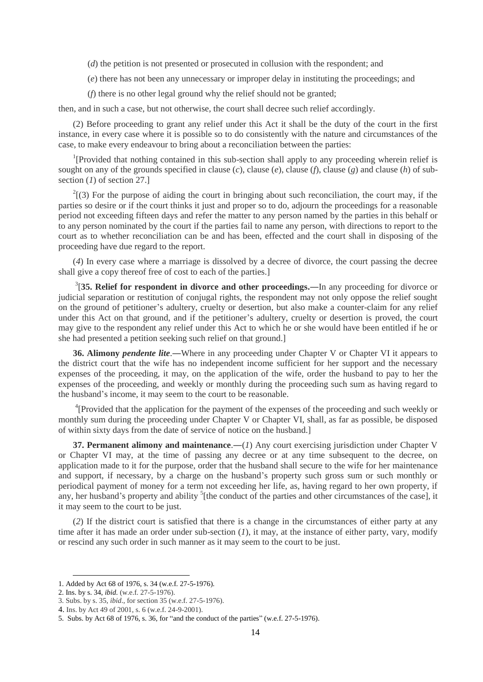(*d*) the petition is not presented or prosecuted in collusion with the respondent; and

(*e*) there has not been any unnecessary or improper delay in instituting the proceedings; and

(*f*) there is no other legal ground why the relief should not be granted;

then, and in such a case, but not otherwise, the court shall decree such relief accordingly.

(2) Before proceeding to grant any relief under this Act it shall be the duty of the court in the first instance, in every case where it is possible so to do consistently with the nature and circumstances of the case, to make every endeavour to bring about a reconciliation between the parties:

<sup>1</sup>[Provided that nothing contained in this sub-section shall apply to any proceeding wherein relief is sought on any of the grounds specified in clause (*c*), clause (*e*), clause (*f*), clause (*g*) and clause (*h*) of subsection (*1*) of section 27.]

 $2^{2}$ [(3) For the purpose of aiding the court in bringing about such reconciliation, the court may, if the parties so desire or if the court thinks it just and proper so to do, adjourn the proceedings for a reasonable period not exceeding fifteen days and refer the matter to any person named by the parties in this behalf or to any person nominated by the court if the parties fail to name any person, with directions to report to the court as to whether reconciliation can be and has been, effected and the court shall in disposing of the proceeding have due regard to the report.

(*4*) In every case where a marriage is dissolved by a decree of divorce, the court passing the decree shall give a copy thereof free of cost to each of the parties.]

3 [**35. Relief for respondent in divorce and other proceedings.―**In any proceeding for divorce or judicial separation or restitution of conjugal rights, the respondent may not only oppose the relief sought on the ground of petitioner's adultery, cruelty or desertion, but also make a counter-claim for any relief under this Act on that ground, and if the petitioner's adultery, cruelty or desertion is proved, the court may give to the respondent any relief under this Act to which he or she would have been entitled if he or she had presented a petition seeking such relief on that ground.]

**36. Alimony** *pendente lite*.—Where in any proceeding under Chapter V or Chapter VI it appears to the district court that the wife has no independent income sufficient for her support and the necessary expenses of the proceeding, it may, on the application of the wife, order the husband to pay to her the expenses of the proceeding, and weekly or monthly during the proceeding such sum as having regard to the husband's income, it may seem to the court to be reasonable.

<sup>4</sup>[Provided that the application for the payment of the expenses of the proceeding and such weekly or monthly sum during the proceeding under Chapter V or Chapter VI, shall, as far as possible, be disposed of within sixty days from the date of service of notice on the husband.]

**37. Permanent alimony and maintenance.**—(*1*) Any court exercising jurisdiction under Chapter V or Chapter VI may, at the time of passing any decree or at any time subsequent to the decree, on application made to it for the purpose, order that the husband shall secure to the wife for her maintenance and support, if necessary, by a charge on the husband's property such gross sum or such monthly or periodical payment of money for a term not exceeding her life, as, having regard to her own property, if any, her husband's property and ability <sup>5</sup>[the conduct of the parties and other circumstances of the case], it it may seem to the court to be just.

(*2*) If the district court is satisfied that there is a change in the circumstances of either party at any time after it has made an order under sub-section (*1*), it may, at the instance of either party, vary, modify or rescind any such order in such manner as it may seem to the court to be just.

-

<sup>1.</sup> Added by Act 68 of 1976, s. 34 (w.e.f. 27-5-1976).

<sup>2.</sup> Ins. by s. 34, *ibid.* (w.e.f. 27-5-1976).

<sup>3.</sup> Subs. by s. 35, *ibid*., for section 35 (w.e.f. 27-5-1976).

<sup>4.</sup> Ins. by Act 49 of 2001, s. 6 (w.e.f. 24-9-2001).

<sup>5.</sup> Subs. by Act 68 of 1976, s. 36, for "and the conduct of the parties" (w.e.f. 27-5-1976).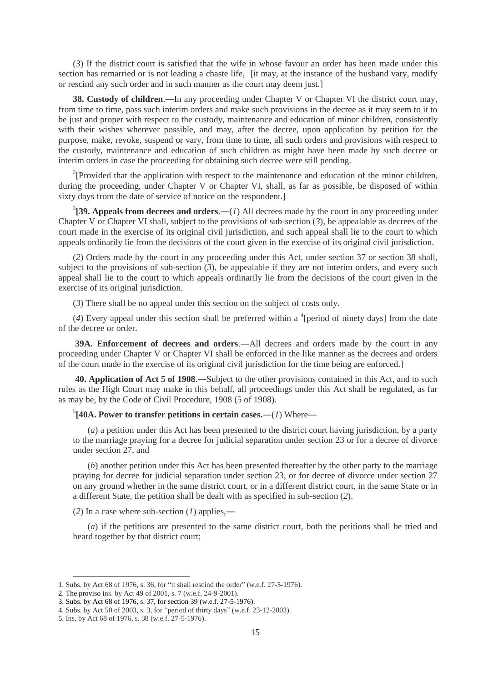(*3*) If the district court is satisfied that the wife in whose favour an order has been made under this section has remarried or is not leading a chaste life,  $\frac{1}{1}$  [it may, at the instance of the husband vary, modify or rescind any such order and in such manner as the court may deem just.]

**38. Custody of children.—In any proceeding under Chapter V or Chapter VI the district court may,** from time to time, pass such interim orders and make such provisions in the decree as it may seem to it to be just and proper with respect to the custody, maintenance and education of minor children, consistently with their wishes wherever possible, and may, after the decree, upon application by petition for the purpose, make, revoke, suspend or vary, from time to time, all such orders and provisions with respect to the custody, maintenance and education of such children as might have been made by such decree or interim orders in case the proceeding for obtaining such decree were still pending.

<sup>2</sup>[Provided that the application with respect to the maintenance and education of the minor children, during the proceeding, under Chapter V or Chapter VI, shall, as far as possible, be disposed of within sixty days from the date of service of notice on the respondent.]

 ${}^{3}$ [39. Appeals from decrees and orders.—(*1*) All decrees made by the court in any proceeding under Chapter V or Chapter VI shall, subject to the provisions of sub-section (*3*), be appealable as decrees of the court made in the exercise of its original civil jurisdiction, and such appeal shall lie to the court to which appeals ordinarily lie from the decisions of the court given in the exercise of its original civil jurisdiction.

(*2*) Orders made by the court in any proceeding under this Act, under section 37 or section 38 shall, subject to the provisions of sub-section  $(3)$ , be appealable if they are not interim orders, and every such appeal shall lie to the court to which appeals ordinarily lie from the decisions of the court given in the exercise of its original jurisdiction.

(*3*) There shall be no appeal under this section on the subject of costs only.

 $(4)$  Every appeal under this section shall be preferred within a <sup>4</sup>[period of ninety days] from the date of the decree or order.

**39A. Enforcement of decrees and orders**.―All decrees and orders made by the court in any proceeding under Chapter V or Chapter VI shall be enforced in the like manner as the decrees and orders of the court made in the exercise of its original civil jurisdiction for the time being are enforced.]

**40. Application of Act 5 of 1908**.―Subject to the other provisions contained in this Act, and to such rules as the High Court may make in this behalf, all proceedings under this Act shall be regulated, as far as may be, by the Code of Civil Procedure, 1908 (5 of 1908).

5 **[40A. Power to transfer petitions in certain cases.―**(*1*) Where―

(*a*) a petition under this Act has been presented to the district court having jurisdiction, by a party to the marriage praying for a decree for judicial separation under section 23 or for a decree of divorce under section 27, and

(*b*) another petition under this Act has been presented thereafter by the other party to the marriage praying for decree for judicial separation under section 23, or for decree of divorce under section 27 on any ground whether in the same district court, or in a different district court, in the same State or in a different State, the petition shall be dealt with as specified in sub-section (*2*).

(*2*) In a case where sub-section (*1*) applies,―

(*a*) if the petitions are presented to the same district court, both the petitions shall be tried and heard together by that district court;

<sup>1.</sup> Subs. by Act 68 of 1976, s. 36, for "it shall rescind the order" (w.e.f. 27-5-1976).

<sup>2.</sup> The proviso ins. by Act 49 of 2001, s. 7 (w.e.f. 24-9-2001).

<sup>3.</sup> Subs. by Act 68 of 1976, s. 37, for section 39 (w.e.f. 27-5-1976).

<sup>4.</sup> Subs. by Act 50 of 2003, s. 3, for "period of thirty days" (w.e.f. 23-12-2003).

<sup>5.</sup> Ins. by Act 68 of 1976, s. 38 (w.e.f. 27-5-1976).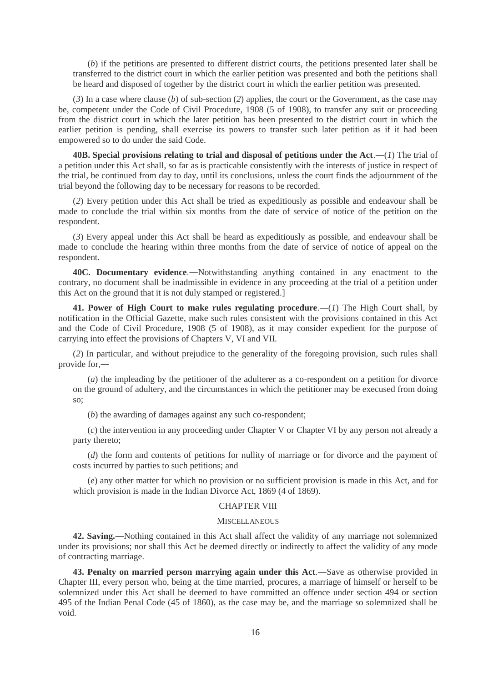(*b*) if the petitions are presented to different district courts, the petitions presented later shall be transferred to the district court in which the earlier petition was presented and both the petitions shall be heard and disposed of together by the district court in which the earlier petition was presented.

(*3*) In a case where clause (*b*) of sub-section (*2*) applies, the court or the Government, as the case may be, competent under the Code of Civil Procedure, 1908 (5 of 1908), to transfer any suit or proceeding from the district court in which the later petition has been presented to the district court in which the earlier petition is pending, shall exercise its powers to transfer such later petition as if it had been empowered so to do under the said Code.

**40B.** Special provisions relating to trial and disposal of petitions under the Act.— $(I)$  The trial of a petition under this Act shall, so far as is practicable consistently with the interests of justice in respect of the trial, be continued from day to day, until its conclusions, unless the court finds the adjournment of the trial beyond the following day to be necessary for reasons to be recorded.

(*2*) Every petition under this Act shall be tried as expeditiously as possible and endeavour shall be made to conclude the trial within six months from the date of service of notice of the petition on the respondent.

(*3*) Every appeal under this Act shall be heard as expeditiously as possible, and endeavour shall be made to conclude the hearing within three months from the date of service of notice of appeal on the respondent.

**40C. Documentary evidence**.―Notwithstanding anything contained in any enactment to the contrary, no document shall be inadmissible in evidence in any proceeding at the trial of a petition under this Act on the ground that it is not duly stamped or registered.]

41. Power of High Court to make rules regulating procedure.—(1) The High Court shall, by notification in the Official Gazette, make such rules consistent with the provisions contained in this Act and the Code of Civil Procedure, 1908 (5 of 1908), as it may consider expedient for the purpose of carrying into effect the provisions of Chapters V, VI and VII.

(*2*) In particular, and without prejudice to the generality of the foregoing provision, such rules shall provide for,―

(*a*) the impleading by the petitioner of the adulterer as a co-respondent on a petition for divorce on the ground of adultery, and the circumstances in which the petitioner may be execused from doing so;

(*b*) the awarding of damages against any such co-respondent;

(*c*) the intervention in any proceeding under Chapter V or Chapter VI by any person not already a party thereto;

(*d*) the form and contents of petitions for nullity of marriage or for divorce and the payment of costs incurred by parties to such petitions; and

(*e*) any other matter for which no provision or no sufficient provision is made in this Act, and for which provision is made in the Indian Divorce Act, 1869 (4 of 1869).

### CHAPTER VIII

#### **MISCELLANEOUS**

**42. Saving.―**Nothing contained in this Act shall affect the validity of any marriage not solemnized under its provisions; nor shall this Act be deemed directly or indirectly to affect the validity of any mode of contracting marriage.

**43. Penalty on married person marrying again under this Act**.―Save as otherwise provided in Chapter III, every person who, being at the time married, procures, a marriage of himself or herself to be solemnized under this Act shall be deemed to have committed an offence under section 494 or section 495 of the Indian Penal Code (45 of 1860), as the case may be, and the marriage so solemnized shall be void.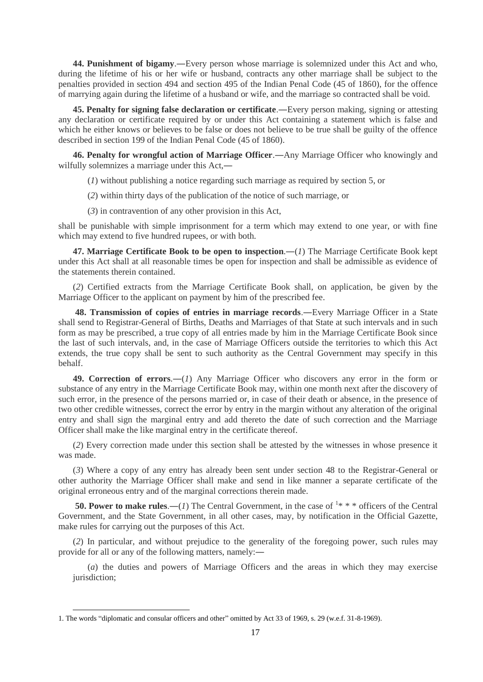**44. Punishment of bigamy**.―Every person whose marriage is solemnized under this Act and who, during the lifetime of his or her wife or husband, contracts any other marriage shall be subject to the penalties provided in section 494 and section 495 of the Indian Penal Code (45 of 1860), for the offence of marrying again during the lifetime of a husband or wife, and the marriage so contracted shall be void.

**45. Penalty for signing false declaration or certificate**.―Every person making, signing or attesting any declaration or certificate required by or under this Act containing a statement which is false and which he either knows or believes to be false or does not believe to be true shall be guilty of the offence described in section 199 of the Indian Penal Code (45 of 1860).

**46. Penalty for wrongful action of Marriage Officer**.―Any Marriage Officer who knowingly and wilfully solemnizes a marriage under this Act,—

(*1*) without publishing a notice regarding such marriage as required by section 5, or

(*2*) within thirty days of the publication of the notice of such marriage, or

(*3*) in contravention of any other provision in this Act,

shall be punishable with simple imprisonment for a term which may extend to one year, or with fine which may extend to five hundred rupees, or with both.

**47. Marriage Certificate Book to be open to inspection**.―(*1*) The Marriage Certificate Book kept under this Act shall at all reasonable times be open for inspection and shall be admissible as evidence of the statements therein contained.

(*2*) Certified extracts from the Marriage Certificate Book shall, on application, be given by the Marriage Officer to the applicant on payment by him of the prescribed fee.

**48. Transmission of copies of entries in marriage records**.―Every Marriage Officer in a State shall send to Registrar-General of Births, Deaths and Marriages of that State at such intervals and in such form as may be prescribed, a true copy of all entries made by him in the Marriage Certificate Book since the last of such intervals, and, in the case of Marriage Officers outside the territories to which this Act extends, the true copy shall be sent to such authority as the Central Government may specify in this behalf.

**49. Correction of errors**.―(*1*) Any Marriage Officer who discovers any error in the form or substance of any entry in the Marriage Certificate Book may, within one month next after the discovery of such error, in the presence of the persons married or, in case of their death or absence, in the presence of two other credible witnesses, correct the error by entry in the margin without any alteration of the original entry and shall sign the marginal entry and add thereto the date of such correction and the Marriage Officer shall make the like marginal entry in the certificate thereof.

(*2*) Every correction made under this section shall be attested by the witnesses in whose presence it was made.

(*3*) Where a copy of any entry has already been sent under section 48 to the Registrar-General or other authority the Marriage Officer shall make and send in like manner a separate certificate of the original erroneous entry and of the marginal corrections therein made.

**50. Power to make rules.**—(*1*) The Central Government, in the case of  $1$ \* \* \* officers of the Central Government, and the State Government, in all other cases, may, by notification in the Official Gazette, make rules for carrying out the purposes of this Act.

(*2*) In particular, and without prejudice to the generality of the foregoing power, such rules may provide for all or any of the following matters, namely:―

(*a*) the duties and powers of Marriage Officers and the areas in which they may exercise jurisdiction;

<sup>1.</sup> The words "diplomatic and consular officers and other" omitted by Act 33 of 1969, s. 29 (w.e.f. 31-8-1969).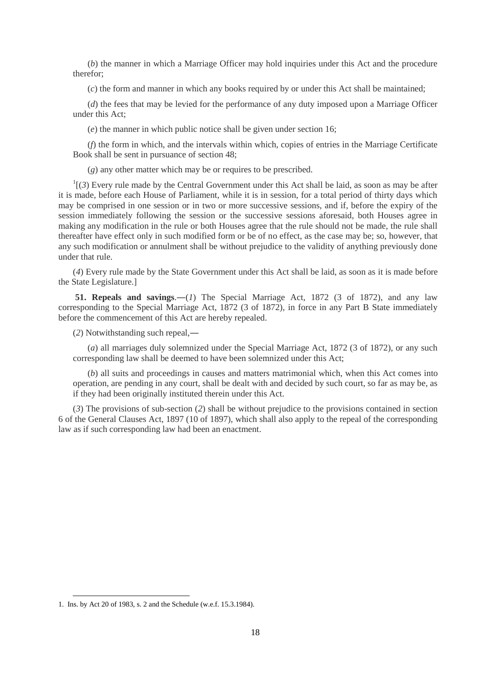(*b*) the manner in which a Marriage Officer may hold inquiries under this Act and the procedure therefor;

(*c*) the form and manner in which any books required by or under this Act shall be maintained;

(*d*) the fees that may be levied for the performance of any duty imposed upon a Marriage Officer under this Act<sup>1</sup>

(*e*) the manner in which public notice shall be given under section 16;

(*f*) the form in which, and the intervals within which, copies of entries in the Marriage Certificate Book shall be sent in pursuance of section 48;

(*g*) any other matter which may be or requires to be prescribed.

 $<sup>1</sup>$ [(3) Every rule made by the Central Government under this Act shall be laid, as soon as may be after</sup> it is made, before each House of Parliament, while it is in session, for a total period of thirty days which may be comprised in one session or in two or more successive sessions, and if, before the expiry of the session immediately following the session or the successive sessions aforesaid, both Houses agree in making any modification in the rule or both Houses agree that the rule should not be made, the rule shall thereafter have effect only in such modified form or be of no effect, as the case may be; so, however, that any such modification or annulment shall be without prejudice to the validity of anything previously done under that rule.

(*4*) Every rule made by the State Government under this Act shall be laid, as soon as it is made before the State Legislature.]

**51. Repeals and savings**.―(*1*) The Special Marriage Act, 1872 (3 of 1872), and any law corresponding to the Special Marriage Act, 1872 (3 of 1872), in force in any Part B State immediately before the commencement of this Act are hereby repealed.

(*2*) Notwithstanding such repeal,―

(*a*) all marriages duly solemnized under the Special Marriage Act, 1872 (3 of 1872), or any such corresponding law shall be deemed to have been solemnized under this Act;

(*b*) all suits and proceedings in causes and matters matrimonial which, when this Act comes into operation, are pending in any court, shall be dealt with and decided by such court, so far as may be, as if they had been originally instituted therein under this Act.

(*3*) The provisions of sub-section (*2*) shall be without prejudice to the provisions contained in section 6 of the General Clauses Act, 1897 (10 of 1897), which shall also apply to the repeal of the corresponding law as if such corresponding law had been an enactment.

-

<sup>1.</sup> Ins. by Act 20 of 1983, s. 2 and the Schedule (w.e.f. 15.3.1984).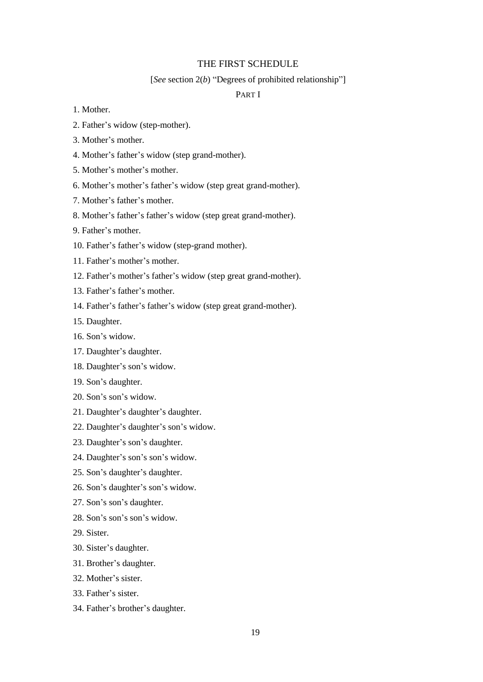# THE FIRST SCHEDULE

#### [*See* section 2(*b*) "Degrees of prohibited relationship"]

# PART I

- 1. Mother.
- 2. Father's widow (step-mother).
- 3. Mother's mother.
- 4. Mother's father's widow (step grand-mother).
- 5. Mother's mother's mother.
- 6. Mother's mother's father's widow (step great grand-mother).
- 7. Mother's father's mother.
- 8. Mother's father's father's widow (step great grand-mother).
- 9. Father's mother.
- 10. Father's father's widow (step-grand mother).
- 11. Father's mother's mother.
- 12. Father's mother's father's widow (step great grand-mother).
- 13. Father's father's mother.
- 14. Father's father's father's widow (step great grand-mother).
- 15. Daughter.
- 16. Son's widow.
- 17. Daughter's daughter.
- 18. Daughter's son's widow.
- 19. Son's daughter.
- 20. Son's son's widow.
- 21. Daughter's daughter's daughter.
- 22. Daughter's daughter's son's widow.
- 23. Daughter's son's daughter.
- 24. Daughter's son's son's widow.
- 25. Son's daughter's daughter.
- 26. Son's daughter's son's widow.
- 27. Son's son's daughter.
- 28. Son's son's son's widow.
- 29. Sister.
- 30. Sister's daughter.
- 31. Brother's daughter.
- 32. Mother's sister.
- 33. Father's sister.
- 34. Father's brother's daughter.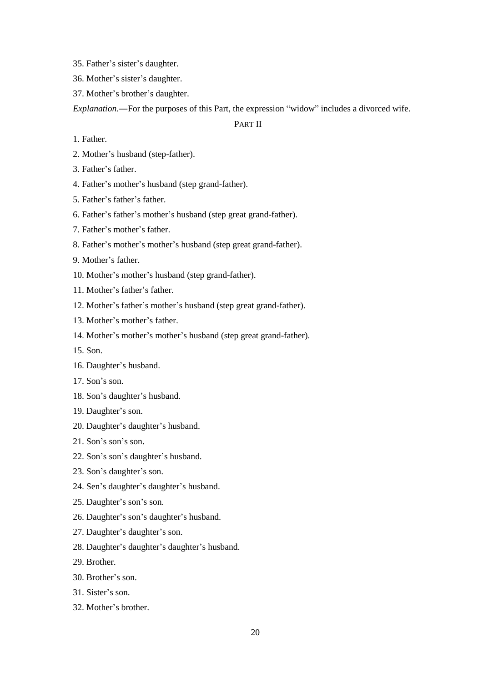35. Father's sister's daughter.

- 36. Mother's sister's daughter.
- 37. Mother's brother's daughter.

*Explanation*.―For the purposes of this Part, the expression "widow" includes a divorced wife.

# PART II

- 1. Father.
- 2. Mother's husband (step-father).
- 3. Father's father.
- 4. Father's mother's husband (step grand-father).
- 5. Father's father's father.
- 6. Father's father's mother's husband (step great grand-father).
- 7. Father's mother's father.
- 8. Father's mother's mother's husband (step great grand-father).
- 9. Mother's father.
- 10. Mother's mother's husband (step grand-father).
- 11. Mother's father's father.
- 12. Mother's father's mother's husband (step great grand-father).
- 13. Mother's mother's father.
- 14. Mother's mother's mother's husband (step great grand-father).
- 15. Son.
- 16. Daughter's husband.
- 17. Son's son.
- 18. Son's daughter's husband.
- 19. Daughter's son.
- 20. Daughter's daughter's husband.
- 21. Son's son's son.
- 22. Son's son's daughter's husband.
- 23. Son's daughter's son.
- 24. Sen's daughter's daughter's husband.
- 25. Daughter's son's son.
- 26. Daughter's son's daughter's husband.
- 27. Daughter's daughter's son.
- 28. Daughter's daughter's daughter's husband.
- 29. Brother.
- 30. Brother's son.
- 31. Sister's son.
- 32. Mother's brother.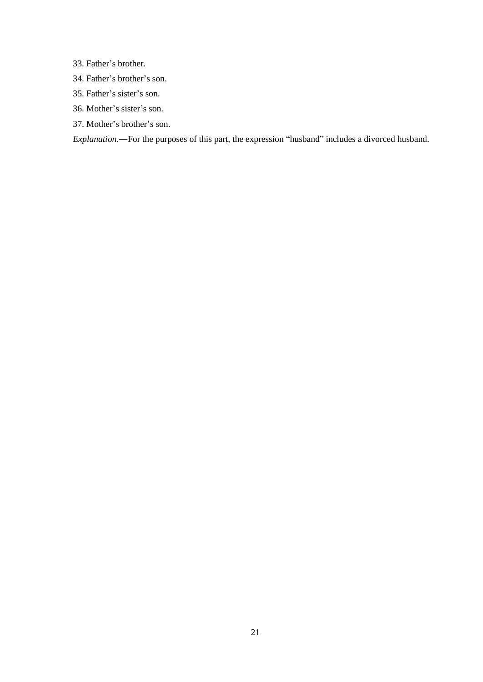33. Father's brother.

- 34. Father's brother's son.
- 35. Father's sister's son.
- 36. Mother's sister's son.
- 37. Mother's brother's son.

*Explanation*.―For the purposes of this part, the expression "husband" includes a divorced husband.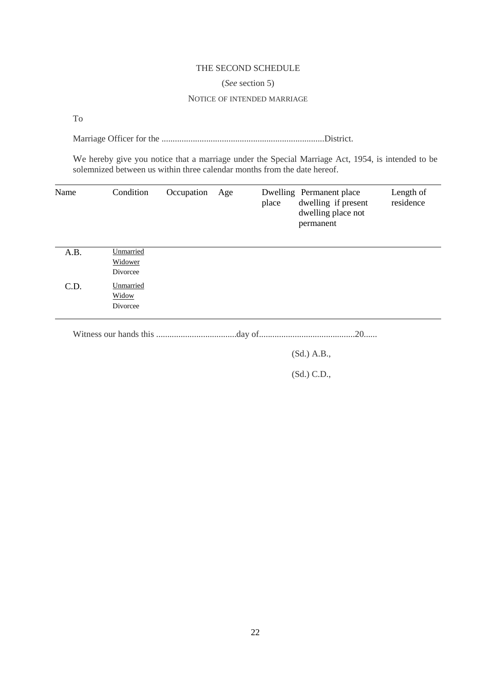# THE SECOND SCHEDULE

### (*See* section 5)

### NOTICE OF INTENDED MARRIAGE

To

Marriage Officer for the .........................................................................District.

We hereby give you notice that a marriage under the Special Marriage Act, 1954, is intended to be solemnized between us within three calendar months from the date hereof.

| Name | Condition                             | Occupation | Age | place | Dwelling Permanent place<br>dwelling if present<br>dwelling place not<br>permanent | Length of<br>residence |
|------|---------------------------------------|------------|-----|-------|------------------------------------------------------------------------------------|------------------------|
| A.B. | Unmarried<br>Widower<br>Divorcee      |            |     |       |                                                                                    |                        |
| C.D. | Unmarried<br><b>Widow</b><br>Divorcee |            |     |       |                                                                                    |                        |

Witness our hands this ....................................day of...........................................20......

(Sd.) A.B.,

(Sd.) C.D.,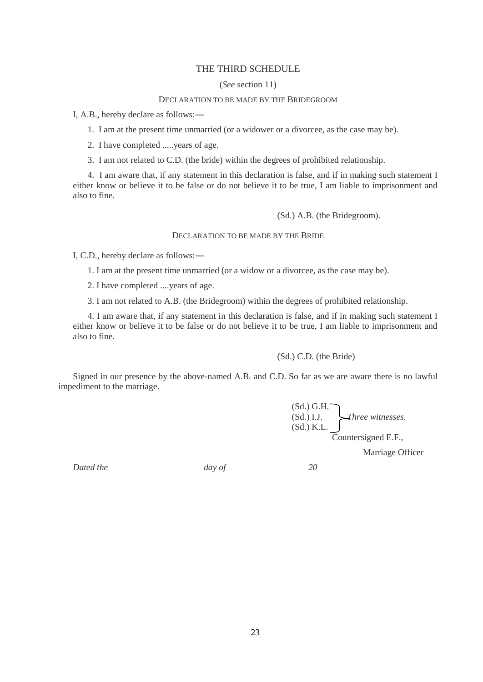# THE THIRD SCHEDULE

### (*See* section 11)

### DECLARATION TO BE MADE BY THE BRIDEGROOM

I, A.B., hereby declare as follows:―

1. I am at the present time unmarried (or a widower or a divorcee, as the case may be).

2. I have completed .....years of age.

3. I am not related to C.D. (the bride) within the degrees of prohibited relationship.

4. I am aware that, if any statement in this declaration is false, and if in making such statement I either know or believe it to be false or do not believe it to be true, I am liable to imprisonment and also to fine.

(Sd.) A.B. (the Bridegroom).

### DECLARATION TO BE MADE BY THE BRIDE

I, C.D., hereby declare as follows:―

1. I am at the present time unmarried (or a widow or a divorcee, as the case may be).

2. I have completed ....years of age.

3. I am not related to A.B. (the Bridegroom) within the degrees of prohibited relationship.

4. I am aware that, if any statement in this declaration is false, and if in making such statement I either know or believe it to be false or do not believe it to be true, I am liable to imprisonment and also to fine.

(Sd.) C.D. (the Bride)

Signed in our presence by the above-named A.B. and C.D. So far as we are aware there is no lawful impediment to the marriage.

> $(Sd.)$  G.H. $\overline{\phantom{a}}$ (Sd.) I.J. *Three witnesses.*  $(Sd.)$  K.L. Countersigned E.F.,

> > Marriage Officer

*Dated the day of 20*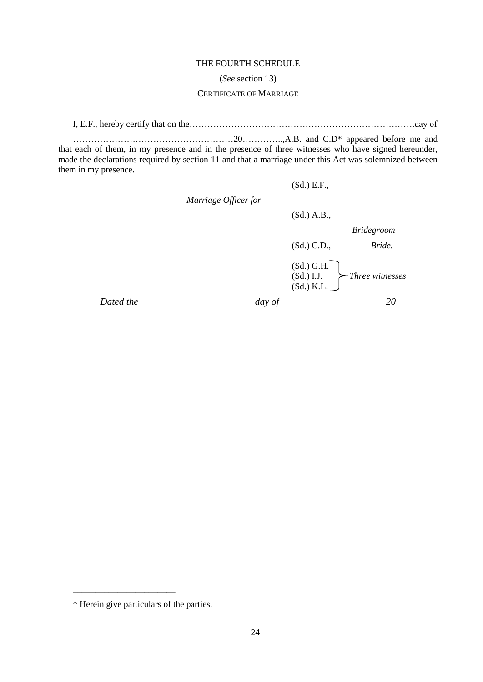### THE FOURTH SCHEDULE

### (*See* section 13)

### CERTIFICATE OF MARRIAGE

I, E.F., hereby certify that on the………………………………………………………………….day of

………………………………………………20…………..,A.B. and C.D\* appeared before me and that each of them, in my presence and in the presence of three witnesses who have signed hereunder, made the declarations required by section 11 and that a marriage under this Act was solemnized between them in my presence.

 *Marriage Officer for*

(Sd.) A.B.,

(Sd.) E.F.,

 *Bridegroom*

(Sd.) C.D., *Bride.*

(Sd.) G.H. (Sd.) I.J. *Three witnesses* (Sd.) K.L.

*Dated the day of 20*

\_\_\_\_\_\_\_\_\_\_\_\_\_\_\_\_\_\_\_\_\_\_\_

<sup>\*</sup> Herein give particulars of the parties.